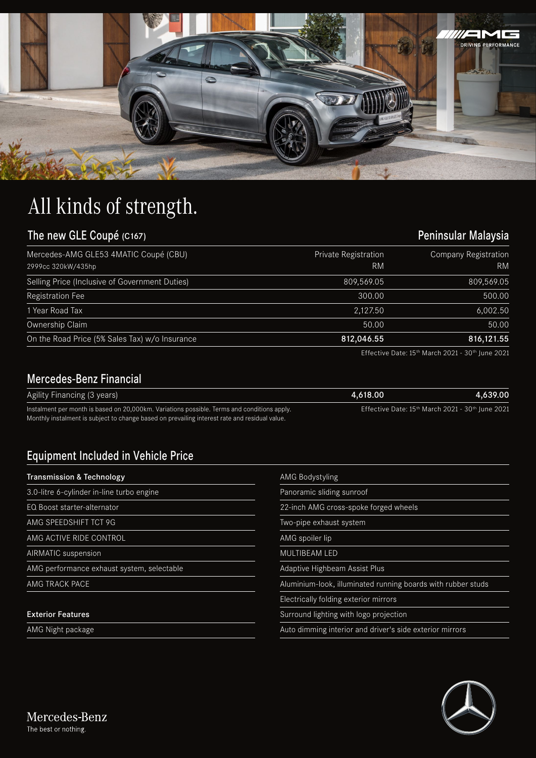

## All kinds of strength.

## The new GLE Coupé (C167) CONSERVITY CONSERVATION CONTROLLER PENINSULAR MALAYSIA Mercedes-AMG GLE53 4MATIC Coupé (CBU) Private Registration Company Registration 2999cc 320kW/435hp RM RM Selling Price (Inclusive of Government Duties) 809,569.05 809,569.05 809,569.05 Registration Fee 300.00 500.00 500.00 500.00 500.00 500.00 500.00 500.00 500.00 500.00 500.00 500.00 500.00 500 1 Year Road Tax 2,127.50 6,002.50 Ownership Claim 50.00 50.00 On the Road Price (5% Sales Tax) w/o Insurance 812 and 812,046.55 812,046.55 816,121.55

Effective Date:  $15<sup>th</sup>$  March 2021 - 30<sup>th</sup> June 2021

## Mercedes-Benz Financial

| Agility Financing (3 years)                                                                   | 4,618.00                                                                 | 4.639.00 |
|-----------------------------------------------------------------------------------------------|--------------------------------------------------------------------------|----------|
| Instalment per month is based on 20,000km. Variations possible. Terms and conditions apply.   | Effective Date: 15 <sup>th</sup> March 2021 - 30 <sup>th</sup> June 2021 |          |
| Monthly instalment is subject to change based on prevailing interest rate and residual value. |                                                                          |          |

## Equipment Included in Vehicle Price

| <b>Transmission &amp; Technology</b>       | <b>AMG Bodystyling</b>                                       |  |
|--------------------------------------------|--------------------------------------------------------------|--|
| 3.0-litre 6-cylinder in-line turbo engine  | Panoramic sliding sunroof                                    |  |
| EQ Boost starter-alternator                | 22-inch AMG cross-spoke forged wheels                        |  |
| AMG SPEEDSHIFT TCT 9G                      | Two-pipe exhaust system                                      |  |
| AMG ACTIVE RIDE CONTROL                    | AMG spoiler lip                                              |  |
| <b>AIRMATIC</b> suspension                 | <b>MULTIBEAM LED</b>                                         |  |
| AMG performance exhaust system, selectable | Adaptive Highbeam Assist Plus                                |  |
| AMG TRACK PACE                             | Aluminium-look, illuminated running boards with rubber studs |  |
|                                            | Electrically folding exterior mirrors                        |  |
| <b>Exterior Features</b>                   | Surround lighting with logo projection                       |  |
| AMG Night package                          | Auto dimming interior and driver's side exterior mirrors     |  |